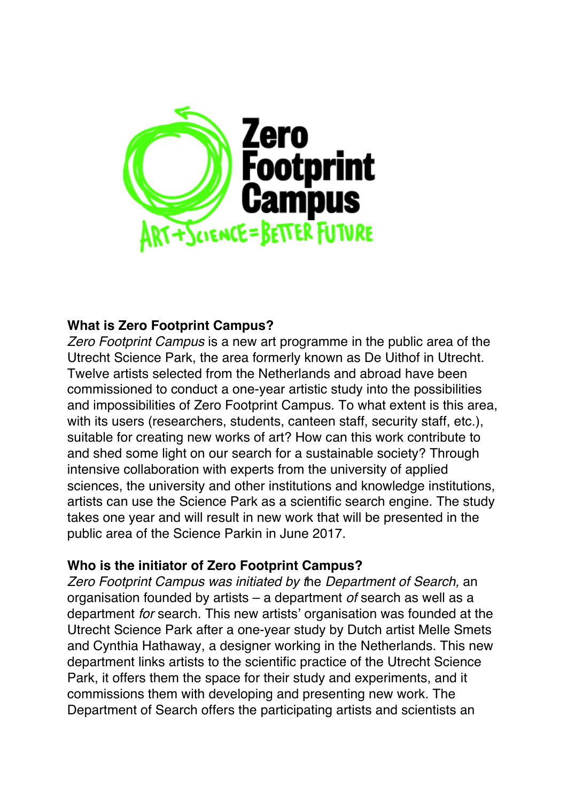

# **What is Zero Footprint Campus?**

*Zero Footprint Campus* is a new art programme in the public area of the Utrecht Science Park, the area formerly known as De Uithof in Utrecht. Twelve artists selected from the Netherlands and abroad have been commissioned to conduct a one-year artistic study into the possibilities and impossibilities of Zero Footprint Campus. To what extent is this area, with its users (researchers, students, canteen staff, security staff, etc.), suitable for creating new works of art? How can this work contribute to and shed some light on our search for a sustainable society? Through intensive collaboration with experts from the university of applied sciences, the university and other institutions and knowledge institutions, artists can use the Science Park as a scientific search engine. The study takes one year and will result in new work that will be presented in the public area of the Science Parkin in June 2017.

### **Who is the initiator of Zero Footprint Campus?**

*Zero Footprint Campus was initiated by t*he *Department of Search,* an organisation founded by artists – a department *of* search as well as a department *for* search. This new artists' organisation was founded at the Utrecht Science Park after a one-year study by Dutch artist Melle Smets and Cynthia Hathaway, a designer working in the Netherlands. This new department links artists to the scientific practice of the Utrecht Science Park, it offers them the space for their study and experiments, and it commissions them with developing and presenting new work. The Department of Search offers the participating artists and scientists an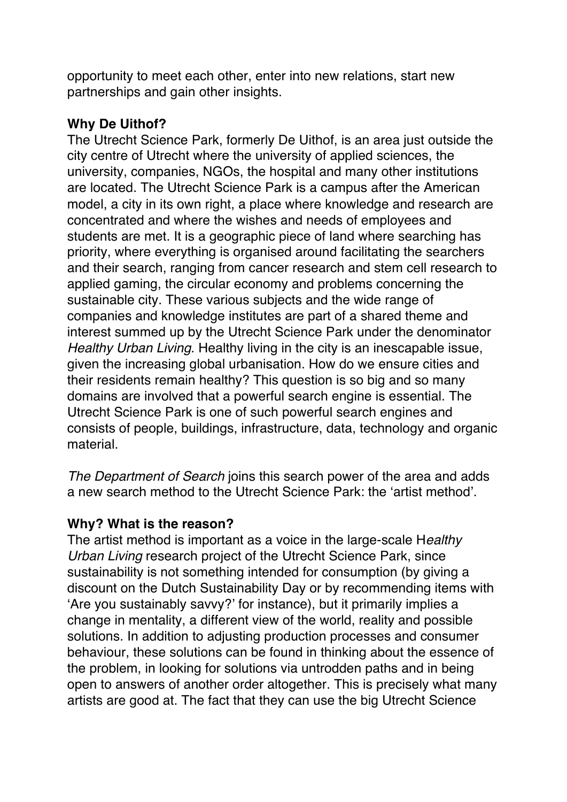opportunity to meet each other, enter into new relations, start new partnerships and gain other insights.

## **Why De Uithof?**

The Utrecht Science Park, formerly De Uithof, is an area just outside the city centre of Utrecht where the university of applied sciences, the university, companies, NGOs, the hospital and many other institutions are located. The Utrecht Science Park is a campus after the American model, a city in its own right, a place where knowledge and research are concentrated and where the wishes and needs of employees and students are met. It is a geographic piece of land where searching has priority, where everything is organised around facilitating the searchers and their search, ranging from cancer research and stem cell research to applied gaming, the circular economy and problems concerning the sustainable city. These various subjects and the wide range of companies and knowledge institutes are part of a shared theme and interest summed up by the Utrecht Science Park under the denominator *Healthy Urban Living*. Healthy living in the city is an inescapable issue, given the increasing global urbanisation. How do we ensure cities and their residents remain healthy? This question is so big and so many domains are involved that a powerful search engine is essential. The Utrecht Science Park is one of such powerful search engines and consists of people, buildings, infrastructure, data, technology and organic material.

*The Department of Search* joins this search power of the area and adds a new search method to the Utrecht Science Park: the 'artist method'.

### **Why? What is the reason?**

The artist method is important as a voice in the large-scale H*ealthy Urban Living* research project of the Utrecht Science Park, since sustainability is not something intended for consumption (by giving a discount on the Dutch Sustainability Day or by recommending items with 'Are you sustainably savvy?' for instance), but it primarily implies a change in mentality, a different view of the world, reality and possible solutions. In addition to adjusting production processes and consumer behaviour, these solutions can be found in thinking about the essence of the problem, in looking for solutions via untrodden paths and in being open to answers of another order altogether. This is precisely what many artists are good at. The fact that they can use the big Utrecht Science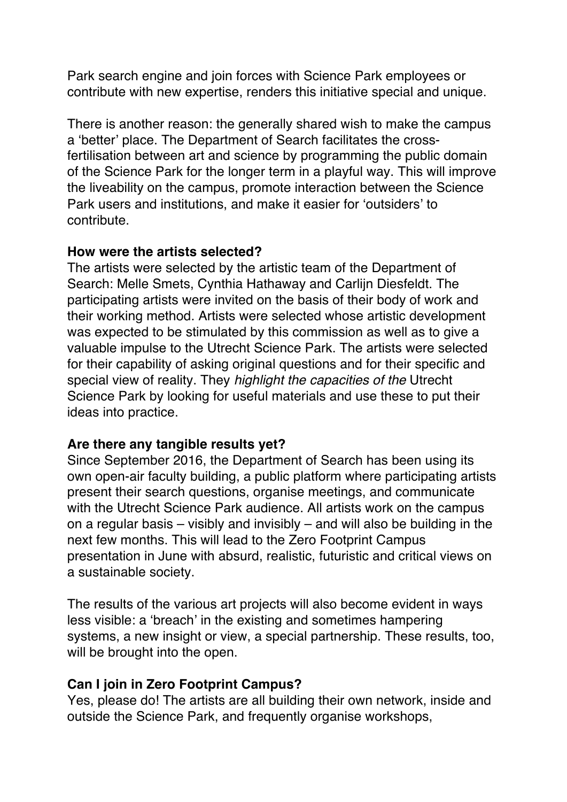Park search engine and join forces with Science Park employees or contribute with new expertise, renders this initiative special and unique.

There is another reason: the generally shared wish to make the campus a 'better' place. The Department of Search facilitates the crossfertilisation between art and science by programming the public domain of the Science Park for the longer term in a playful way. This will improve the liveability on the campus, promote interaction between the Science Park users and institutions, and make it easier for 'outsiders' to contribute.

#### **How were the artists selected?**

The artists were selected by the artistic team of the Department of Search: Melle Smets, Cynthia Hathaway and Carlijn Diesfeldt. The participating artists were invited on the basis of their body of work and their working method. Artists were selected whose artistic development was expected to be stimulated by this commission as well as to give a valuable impulse to the Utrecht Science Park. The artists were selected for their capability of asking original questions and for their specific and special view of reality. They *highlight the capacities of the* Utrecht Science Park by looking for useful materials and use these to put their ideas into practice.

### **Are there any tangible results yet?**

Since September 2016, the Department of Search has been using its own open-air faculty building, a public platform where participating artists present their search questions, organise meetings, and communicate with the Utrecht Science Park audience. All artists work on the campus on a regular basis – visibly and invisibly – and will also be building in the next few months. This will lead to the Zero Footprint Campus presentation in June with absurd, realistic, futuristic and critical views on a sustainable society.

The results of the various art projects will also become evident in ways less visible: a 'breach' in the existing and sometimes hampering systems, a new insight or view, a special partnership. These results, too, will be brought into the open.

### **Can I join in Zero Footprint Campus?**

Yes, please do! The artists are all building their own network, inside and outside the Science Park, and frequently organise workshops,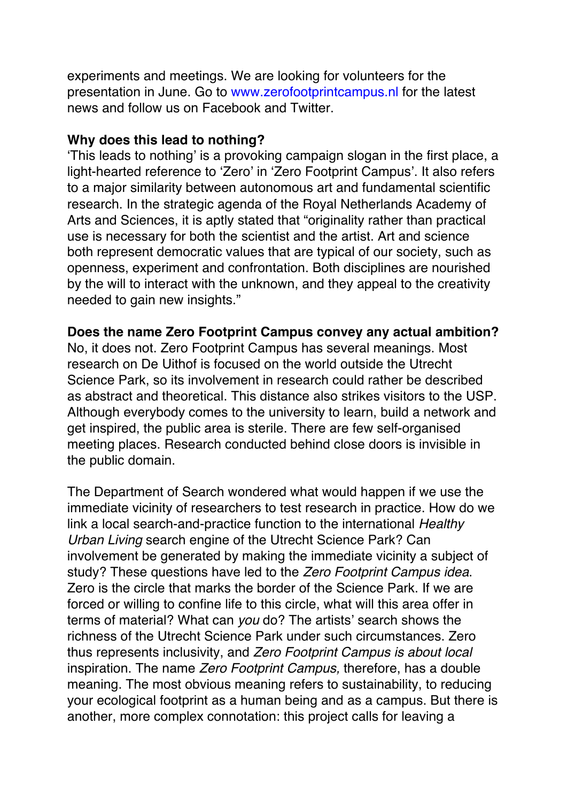experiments and meetings. We are looking for volunteers for the presentation in June. Go to www.zerofootprintcampus.nl for the latest news and follow us on Facebook and Twitter.

### **Why does this lead to nothing?**

'This leads to nothing' is a provoking campaign slogan in the first place, a light-hearted reference to 'Zero' in 'Zero Footprint Campus'. It also refers to a major similarity between autonomous art and fundamental scientific research. In the strategic agenda of the Royal Netherlands Academy of Arts and Sciences, it is aptly stated that "originality rather than practical use is necessary for both the scientist and the artist. Art and science both represent democratic values that are typical of our society, such as openness, experiment and confrontation. Both disciplines are nourished by the will to interact with the unknown, and they appeal to the creativity needed to gain new insights."

### **Does the name Zero Footprint Campus convey any actual ambition?**

No, it does not. Zero Footprint Campus has several meanings. Most research on De Uithof is focused on the world outside the Utrecht Science Park, so its involvement in research could rather be described as abstract and theoretical. This distance also strikes visitors to the USP. Although everybody comes to the university to learn, build a network and get inspired, the public area is sterile. There are few self-organised meeting places. Research conducted behind close doors is invisible in the public domain.

The Department of Search wondered what would happen if we use the immediate vicinity of researchers to test research in practice. How do we link a local search-and-practice function to the international *Healthy Urban Living* search engine of the Utrecht Science Park? Can involvement be generated by making the immediate vicinity a subject of study? These questions have led to the *Zero Footprint Campus idea*. Zero is the circle that marks the border of the Science Park. If we are forced or willing to confine life to this circle, what will this area offer in terms of material? What can *you* do? The artists' search shows the richness of the Utrecht Science Park under such circumstances. Zero thus represents inclusivity, and *Zero Footprint Campus is about local*  inspiration. The name *Zero Footprint Campus,* therefore, has a double meaning. The most obvious meaning refers to sustainability, to reducing your ecological footprint as a human being and as a campus. But there is another, more complex connotation: this project calls for leaving a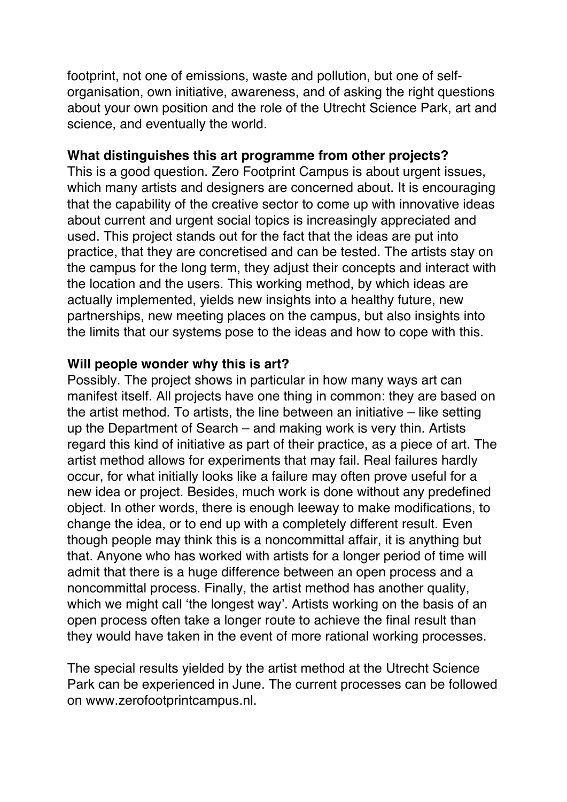footprint, not one of emissions, waste and pollution, but one of selforganisation, own initiative, awareness, and of asking the right questions about your own position and the role of the Utrecht Science Park, art and science, and eventually the world.

#### **What distinguishes this art programme from other projects?**

This is a good question. Zero Footprint Campus is about urgent issues, which many artists and designers are concerned about. It is encouraging that the capability of the creative sector to come up with innovative ideas about current and urgent social topics is increasingly appreciated and used. This project stands out for the fact that the ideas are put into practice, that they are concretised and can be tested. The artists stay on the campus for the long term, they adjust their concepts and interact with the location and the users. This working method, by which ideas are actually implemented, yields new insights into a healthy future, new partnerships, new meeting places on the campus, but also insights into the limits that our systems pose to the ideas and how to cope with this.

#### **Will people wonder why this is art?**

Possibly. The project shows in particular in how many ways art can manifest itself. All projects have one thing in common: they are based on the artist method. To artists, the line between an initiative – like setting up the Department of Search – and making work is very thin. Artists regard this kind of initiative as part of their practice, as a piece of art. The artist method allows for experiments that may fail. Real failures hardly occur, for what initially looks like a failure may often prove useful for a new idea or project. Besides, much work is done without any predefined object. In other words, there is enough leeway to make modifications, to change the idea, or to end up with a completely different result. Even though people may think this is a noncommittal affair, it is anything but that. Anyone who has worked with artists for a longer period of time will admit that there is a huge difference between an open process and a noncommittal process. Finally, the artist method has another quality, which we might call 'the longest way'. Artists working on the basis of an open process often take a longer route to achieve the final result than they would have taken in the event of more rational working processes.

The special results yielded by the artist method at the Utrecht Science Park can be experienced in June. The current processes can be followed on www.zerofootprintcampus.nl.